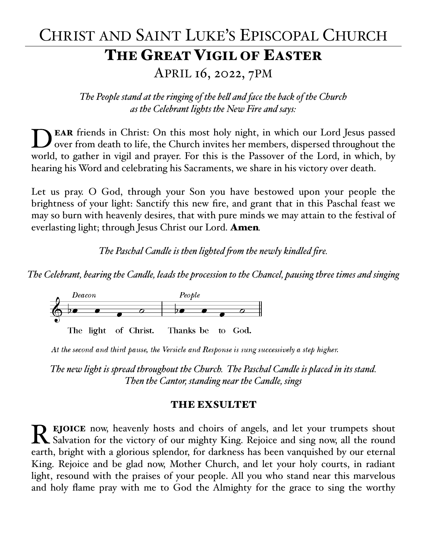# CHRIST AND SAINT LUKE'S EPISCOPAL CHURCH THE GREAT VIGIL OF EASTER

APRIL 16, 2022, 7PM

*The People stand at the ringing of the bell and face the back of the Church as the Celebrant lights the New Fire and says:*

**DEAR** friends in Christ: On this most holy night, in which our Lord Jesus passed<br>over from death to life, the Church invites her members, dispersed throughout the world, to gather in vigil and prayer. For this is the Passover of the Lord, in which, by hearing his Word and celebrating his Sacraments, we share in his victory over death.

Let us pray. O God, through your Son you have bestowed upon your people the brightness of your light: Sanctify this new fire, and grant that in this Paschal feast we may so burn with heavenly desires, that with pure minds we may attain to the festival of everlasting light; through Jesus Christ our Lord. Amen*.* 

*The Paschal Candle is then lighted from the newly kindled fire.*

*The Celebrant, bearing the Candle, leads the procession to the Chancel, pausing three times and singing*



At the second and third pause, the Versicle and Response is sung successively a step higher.

*The new light is spread throughout the Church. The Paschal Candle is placed in its stand. Then the Cantor, standing near the Candle, sings*

### THE EXSULTET

R EJOICE now, heavenly hosts and choirs of angels, and let your trumpets shout Salvation for the victory of our mighty King. Rejoice and sing now, all the round earth, bright with a glorious splendor, for darkness has been vanquished by our eternal King. Rejoice and be glad now, Mother Church, and let your holy courts, in radiant light, resound with the praises of your people. All you who stand near this marvelous and holy flame pray with me to God the Almighty for the grace to sing the worthy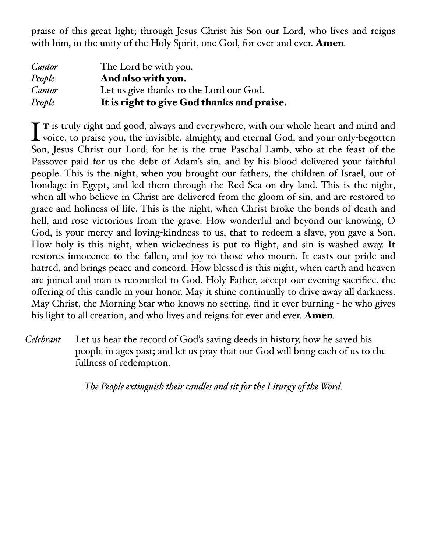praise of this great light; through Jesus Christ his Son our Lord, who lives and reigns with him, in the unity of the Holy Spirit, one God, for ever and ever. Amen*.*

| Cantor        | The Lord be with you.                      |
|---------------|--------------------------------------------|
| People        | And also with you.                         |
| <b>Cantor</b> | Let us give thanks to the Lord our God.    |
| People        | It is right to give God thanks and praise. |

I T is truly right and good, always and everywhere, with our whole heart and mind and voice, to praise you, the invisible, almighty, and eternal God, and your only-begotten Son, Jesus Christ our Lord; for he is the true Paschal Lamb, who at the feast of the Passover paid for us the debt of Adam's sin, and by his blood delivered your faithful people. This is the night, when you brought our fathers, the children of Israel, out of bondage in Egypt, and led them through the Red Sea on dry land. This is the night, when all who believe in Christ are delivered from the gloom of sin, and are restored to grace and holiness of life. This is the night, when Christ broke the bonds of death and hell, and rose victorious from the grave. How wonderful and beyond our knowing, O God, is your mercy and loving-kindness to us, that to redeem a slave, you gave a Son. How holy is this night, when wickedness is put to flight, and sin is washed away. It restores innocence to the fallen, and joy to those who mourn. It casts out pride and hatred, and brings peace and concord. How blessed is this night, when earth and heaven are joined and man is reconciled to God. Holy Father, accept our evening sacrifice, the offering of this candle in your honor. May it shine continually to drive away all darkness. May Christ, the Morning Star who knows no setting, find it ever burning - he who gives his light to all creation, and who lives and reigns for ever and ever. Amen*.*

*Celebrant* Let us hear the record of God's saving deeds in history, how he saved his people in ages past; and let us pray that our God will bring each of us to the fullness of redemption.

*The People extinguish their candles and sit for the Liturgy of the Word.*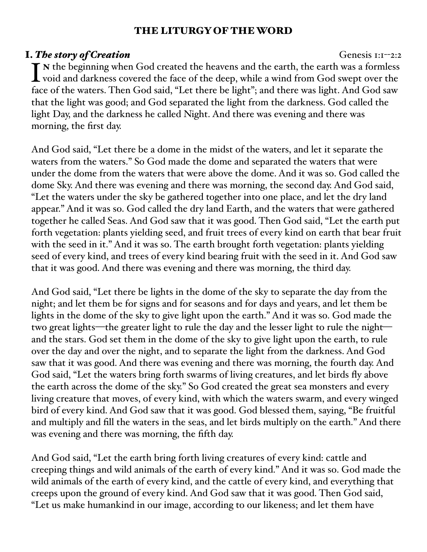# THE LITURGY OF THE WORD

# **I. The story of Creation** Genesis 1:1<sup>--</sup>2:2

IN the beginning when God created the heavens and the earth, the earth was a formless<br>void and darkness covered the face of the deep, while a wind from God swept over the<br>face of the deep of the deep, while a wind from God face of the waters. Then God said, "Let there be light"; and there was light. And God saw that the light was good; and God separated the light from the darkness. God called the light Day, and the darkness he called Night. And there was evening and there was morning, the first day.

And God said, "Let there be a dome in the midst of the waters, and let it separate the waters from the waters." So God made the dome and separated the waters that were under the dome from the waters that were above the dome. And it was so. God called the dome Sky. And there was evening and there was morning, the second day. And God said, "Let the waters under the sky be gathered together into one place, and let the dry land appear." And it was so. God called the dry land Earth, and the waters that were gathered together he called Seas. And God saw that it was good. Then God said, "Let the earth put forth vegetation: plants yielding seed, and fruit trees of every kind on earth that bear fruit with the seed in it." And it was so. The earth brought forth vegetation: plants yielding seed of every kind, and trees of every kind bearing fruit with the seed in it. And God saw that it was good. And there was evening and there was morning, the third day.

And God said, "Let there be lights in the dome of the sky to separate the day from the night; and let them be for signs and for seasons and for days and years, and let them be lights in the dome of the sky to give light upon the earth." And it was so. God made the two great lights—the greater light to rule the day and the lesser light to rule the night and the stars. God set them in the dome of the sky to give light upon the earth, to rule over the day and over the night, and to separate the light from the darkness. And God saw that it was good. And there was evening and there was morning, the fourth day. And God said, "Let the waters bring forth swarms of living creatures, and let birds fly above the earth across the dome of the sky." So God created the great sea monsters and every living creature that moves, of every kind, with which the waters swarm, and every winged bird of every kind. And God saw that it was good. God blessed them, saying, "Be fruitful and multiply and fill the waters in the seas, and let birds multiply on the earth." And there was evening and there was morning, the fifth day.

And God said, "Let the earth bring forth living creatures of every kind: cattle and creeping things and wild animals of the earth of every kind." And it was so. God made the wild animals of the earth of every kind, and the cattle of every kind, and everything that creeps upon the ground of every kind. And God saw that it was good. Then God said, "Let us make humankind in our image, according to our likeness; and let them have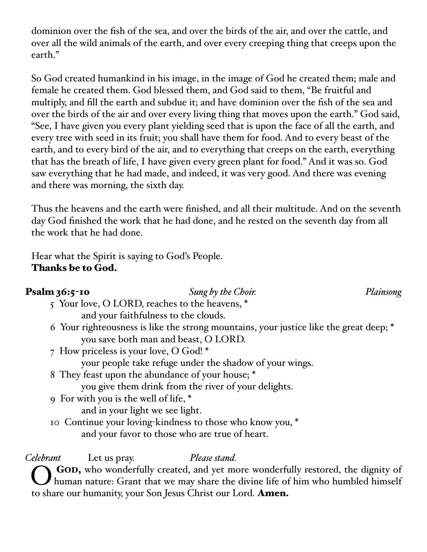dominion over the fish of the sea, and over the birds of the air, and over the cattle, and over all the wild animals of the earth, and over every creeping thing that creeps upon the earth."

So God created humankind in his image, in the image of God he created them; male and female he created them. God blessed them, and God said to them, "Be fruitful and multiply, and fill the earth and subdue it; and have dominion over the fish of the sea and over the birds of the air and over every living thing that moves upon the earth." God said, "See, I have given you every plant yielding seed that is upon the face of all the earth, and every tree with seed in its fruit; you shall have them for food. And to every beast of the earth, and to every bird of the air, and to everything that creeps on the earth, everything that has the breath of life, I have given every green plant for food." And it was so. God saw everything that he had made, and indeed, it was very good. And there was evening and there was morning, the sixth day.

Thus the heavens and the earth were finished, and all their multitude. And on the seventh day God finished the work that he had done, and he rested on the seventh day from all the work that he had done.

Hear what the Spirit is saying to God's People. Thanks be to God.

**Psalm 36:5-10** *Sung by the Choir. Plainsong* 

5 Your love, O LORD, reaches to the heavens, \* and your faithfulness to the clouds.

6 Your righteousness is like the strong mountains, your justice like the great deep; \* you save both man and beast, O LORD.

- 7 How priceless is your love, O God! \* your people take refuge under the shadow of your wings.
- 8 They feast upon the abundance of your house; \* you give them drink from the river of your delights.
- 9 For with you is the well of life, \*

and in your light we see light.

10 Continue your loving-kindness to those who know you, \* and your favor to those who are true of heart.

*Celebrant* Let us pray. *Please stand.* GOD, who wonderfully created, and yet more wonderfully restored, the dignity of human nature: Grant that we may share the divine life of him who humbled himself to share our humanity, your Son Jesus Christ our Lord. Amen.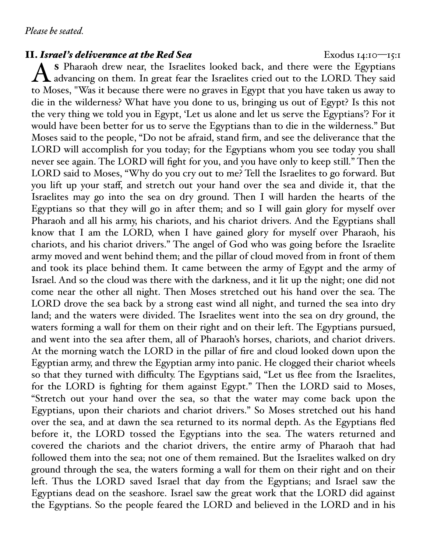# **II.** *Israel's deliverance at the Red Sea* Exodus 14:10<sup>-15:1</sup>

As Pharaoh drew near, the Israelites looked back, and there were the Egyptians<br>advancing on them. In great fear the Israelites cried out to the LORD. They said to Moses, "Was it because there were no graves in Egypt that you have taken us away to die in the wilderness? What have you done to us, bringing us out of Egypt? Is this not the very thing we told you in Egypt, 'Let us alone and let us serve the Egyptians'? For it would have been better for us to serve the Egyptians than to die in the wilderness." But Moses said to the people, "Do not be afraid, stand firm, and see the deliverance that the LORD will accomplish for you today; for the Egyptians whom you see today you shall never see again. The LORD will fight for you, and you have only to keep still." Then the LORD said to Moses, "Why do you cry out to me? Tell the Israelites to go forward. But you lift up your staff, and stretch out your hand over the sea and divide it, that the Israelites may go into the sea on dry ground. Then I will harden the hearts of the Egyptians so that they will go in after them; and so I will gain glory for myself over Pharaoh and all his army, his chariots, and his chariot drivers. And the Egyptians shall know that I am the LORD, when I have gained glory for myself over Pharaoh, his chariots, and his chariot drivers." The angel of God who was going before the Israelite army moved and went behind them; and the pillar of cloud moved from in front of them and took its place behind them. It came between the army of Egypt and the army of Israel. And so the cloud was there with the darkness, and it lit up the night; one did not come near the other all night. Then Moses stretched out his hand over the sea. The LORD drove the sea back by a strong east wind all night, and turned the sea into dry land; and the waters were divided. The Israelites went into the sea on dry ground, the waters forming a wall for them on their right and on their left. The Egyptians pursued, and went into the sea after them, all of Pharaoh's horses, chariots, and chariot drivers. At the morning watch the LORD in the pillar of fire and cloud looked down upon the Egyptian army, and threw the Egyptian army into panic. He clogged their chariot wheels so that they turned with difficulty. The Egyptians said, "Let us flee from the Israelites, for the LORD is fighting for them against Egypt." Then the LORD said to Moses, "Stretch out your hand over the sea, so that the water may come back upon the Egyptians, upon their chariots and chariot drivers." So Moses stretched out his hand over the sea, and at dawn the sea returned to its normal depth. As the Egyptians fled before it, the LORD tossed the Egyptians into the sea. The waters returned and covered the chariots and the chariot drivers, the entire army of Pharaoh that had followed them into the sea; not one of them remained. But the Israelites walked on dry ground through the sea, the waters forming a wall for them on their right and on their left. Thus the LORD saved Israel that day from the Egyptians; and Israel saw the Egyptians dead on the seashore. Israel saw the great work that the LORD did against the Egyptians. So the people feared the LORD and believed in the LORD and in his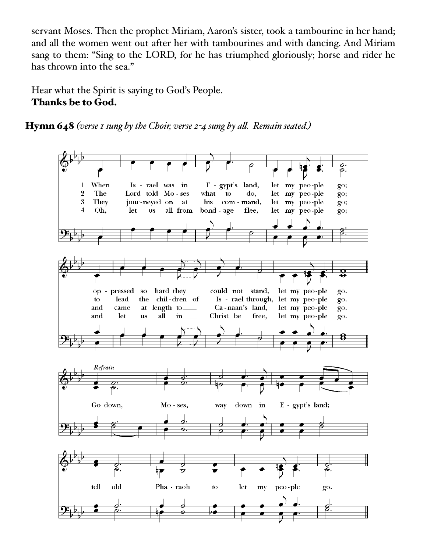servant Moses. Then the prophet Miriam, Aaron's sister, took a tambourine in her hand; and all the women went out after her with tambourines and with dancing. And Miriam sang to them: "Sing to the LORD, for he has triumphed gloriously; horse and rider he has thrown into the sea."

Hear what the Spirit is saying to God's People. Thanks be to God.

Hymn 648 *(verse 1 sung by the Choir, verse 2-4 sung by all. Remain seated.)*

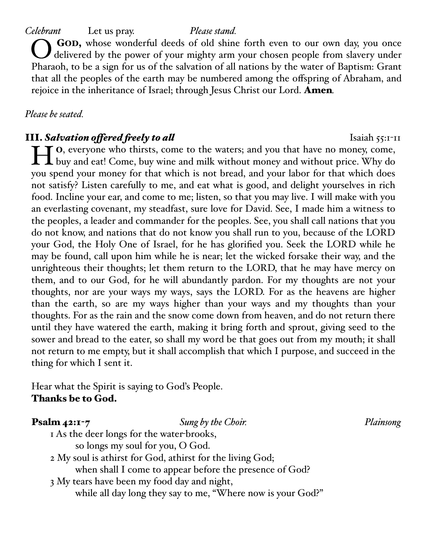*Celebrant* Let us pray. *Please stand.* O GOD, whose wonderful deeds of old shine forth even to our own day, you once delivered by the power of your mighty arm your chosen people from slavery under Pharaoh, to be a sign for us of the salvation of all nations by the water of Baptism: Grant that all the peoples of the earth may be numbered among the offspring of Abraham, and rejoice in the inheritance of Israel; through Jesus Christ our Lord. Amen*.*

# *Please be seated.*

# **III.** Salvation offered freely to all intervals of the same in the set of Isaiah 55:1-11

 $\mathbf{T}$   $\mathbf{T}$   $\mathbf{0}$ , everyone who thirsts, come to the waters; and you that have no money, come,  $\mathsf{L}$  buy and eat! Come, buy wine and milk without money and without price. Why do you spend your money for that which is not bread, and your labor for that which does not satisfy? Listen carefully to me, and eat what is good, and delight yourselves in rich food. Incline your ear, and come to me; listen, so that you may live. I will make with you an everlasting covenant, my steadfast, sure love for David. See, I made him a witness to the peoples, a leader and commander for the peoples. See, you shall call nations that you do not know, and nations that do not know you shall run to you, because of the LORD your God, the Holy One of Israel, for he has glorified you. Seek the LORD while he may be found, call upon him while he is near; let the wicked forsake their way, and the unrighteous their thoughts; let them return to the LORD, that he may have mercy on them, and to our God, for he will abundantly pardon. For my thoughts are not your thoughts, nor are your ways my ways, says the LORD. For as the heavens are higher than the earth, so are my ways higher than your ways and my thoughts than your thoughts. For as the rain and the snow come down from heaven, and do not return there until they have watered the earth, making it bring forth and sprout, giving seed to the sower and bread to the eater, so shall my word be that goes out from my mouth; it shall not return to me empty, but it shall accomplish that which I purpose, and succeed in the thing for which I sent it.

Hear what the Spirit is saying to God's People. Thanks be to God.

**Psalm 42:1-7** *Sung by the Choir. Plainsong* 

1 As the deer longs for the water-brooks,

so longs my soul for you, O God.

- 2 My soul is athirst for God, athirst for the living God; when shall I come to appear before the presence of God?
- 3 My tears have been my food day and night, while all day long they say to me, "Where now is your God?"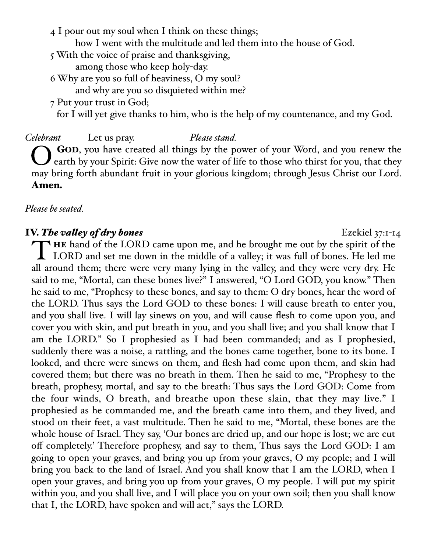4 I pour out my soul when I think on these things;

how I went with the multitude and led them into the house of God.

- 5 With the voice of praise and thanksgiving,
	- among those who keep holy-day.
- 6 Why are you so full of heaviness, O my soul?
	- and why are you so disquieted within me?
- 7 Put your trust in God;

for I will yet give thanks to him, who is the help of my countenance, and my God.

*Celebrant* Let us pray. *Please stand.* GOD, you have created all things by the power of your Word, and you renew the earth by your Spirit: Give now the water of life to those who thirst for you, that they may bring forth abundant fruit in your glorious kingdom; through Jesus Christ our Lord. Amen*.*

*Please be seated.*

IV. The valley of dry bones<br> **The hand of the LORD** came upon me, and he brought me out by the spirit of the THE hand of the LORD came upon me, and he brought me out by the spirit of the LORD and set me down in the middle of a valley; it was full of bones. He led me all around them; there were very many lying in the valley, and they were very dry. He said to me, "Mortal, can these bones live?" I answered, "O Lord GOD, you know." Then he said to me, "Prophesy to these bones, and say to them: O dry bones, hear the word of the LORD. Thus says the Lord GOD to these bones: I will cause breath to enter you, and you shall live. I will lay sinews on you, and will cause flesh to come upon you, and cover you with skin, and put breath in you, and you shall live; and you shall know that I am the LORD." So I prophesied as I had been commanded; and as I prophesied, suddenly there was a noise, a rattling, and the bones came together, bone to its bone. I looked, and there were sinews on them, and flesh had come upon them, and skin had covered them; but there was no breath in them. Then he said to me, "Prophesy to the breath, prophesy, mortal, and say to the breath: Thus says the Lord GOD: Come from the four winds, O breath, and breathe upon these slain, that they may live." I prophesied as he commanded me, and the breath came into them, and they lived, and stood on their feet, a vast multitude. Then he said to me, "Mortal, these bones are the whole house of Israel. They say, 'Our bones are dried up, and our hope is lost; we are cut off completely.' Therefore prophesy, and say to them, Thus says the Lord GOD: I am going to open your graves, and bring you up from your graves, O my people; and I will bring you back to the land of Israel. And you shall know that I am the LORD, when I open your graves, and bring you up from your graves, O my people. I will put my spirit within you, and you shall live, and I will place you on your own soil; then you shall know that I, the LORD, have spoken and will act," says the LORD.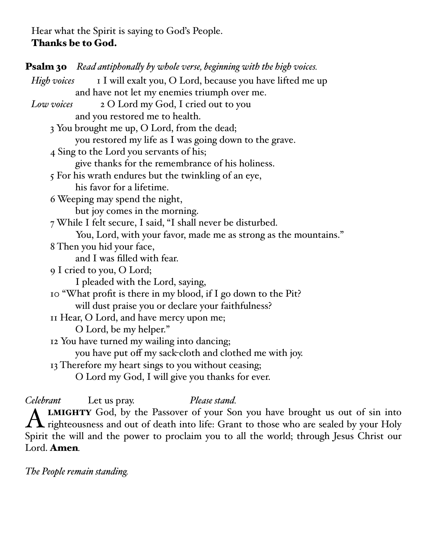Psalm 30 *Read antiphonally by whole verse, beginning with the high voices. High voices* I I will exalt you, O Lord, because you have lifted me up and have not let my enemies triumph over me. *Low voices* 2 O Lord my God, I cried out to you and you restored me to health. 3 You brought me up, O Lord, from the dead; you restored my life as I was going down to the grave. 4 Sing to the Lord you servants of his; give thanks for the remembrance of his holiness. 5 For his wrath endures but the twinkling of an eye, his favor for a lifetime. 6 Weeping may spend the night, but joy comes in the morning. 7 While I felt secure, I said, "I shall never be disturbed. You, Lord, with your favor, made me as strong as the mountains." 8 Then you hid your face, and I was filled with fear. 9 I cried to you, O Lord; I pleaded with the Lord, saying, 10 "What profit is there in my blood, if I go down to the Pit? will dust praise you or declare your faithfulness? 11 Hear, O Lord, and have mercy upon me; O Lord, be my helper." 12 You have turned my wailing into dancing; you have put off my sack-cloth and clothed me with joy. 13 Therefore my heart sings to you without ceasing; O Lord my God, I will give you thanks for ever.

*Celebrant* Let us pray. *Please stand.* A LMIGHTY God, by the Passover of your Son you have brought us out of sin into righteousness and out of death into life: Grant to those who are sealed by your Holy Spirit the will and the power to proclaim you to all the world; through Jesus Christ our Lord. Amen*.*

*The People remain standing.*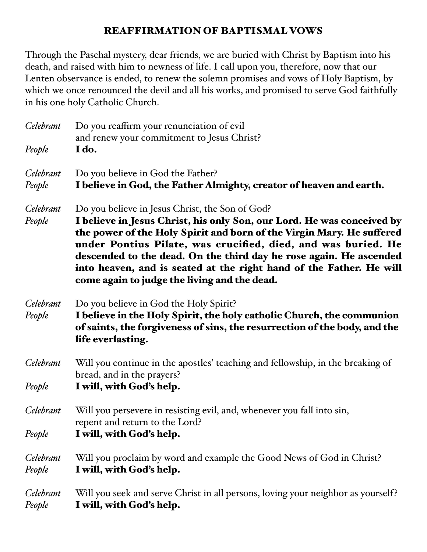# REAFFIRMATION OF BAPTISMAL VOWS

Through the Paschal mystery, dear friends, we are buried with Christ by Baptism into his death, and raised with him to newness of life. I call upon you, therefore, now that our Lenten observance is ended, to renew the solemn promises and vows of Holy Baptism, by which we once renounced the devil and all his works, and promised to serve God faithfully in his one holy Catholic Church.

| Celebrant<br>People        | Do you reaffirm your renunciation of evil<br>and renew your commitment to Jesus Christ?<br>I do.                                                                                                                                                                                                                                                                                                                                                                 |
|----------------------------|------------------------------------------------------------------------------------------------------------------------------------------------------------------------------------------------------------------------------------------------------------------------------------------------------------------------------------------------------------------------------------------------------------------------------------------------------------------|
| <i>Celebrant</i><br>People | Do you believe in God the Father?<br>I believe in God, the Father Almighty, creator of heaven and earth.                                                                                                                                                                                                                                                                                                                                                         |
| Celebrant<br>People        | Do you believe in Jesus Christ, the Son of God?<br>I believe in Jesus Christ, his only Son, our Lord. He was conceived by<br>the power of the Holy Spirit and born of the Virgin Mary. He suffered<br>under Pontius Pilate, was crucified, died, and was buried. He<br>descended to the dead. On the third day he rose again. He ascended<br>into heaven, and is seated at the right hand of the Father. He will<br>come again to judge the living and the dead. |
| Celebrant<br>People        | Do you believe in God the Holy Spirit?<br>I believe in the Holy Spirit, the holy catholic Church, the communion<br>of saints, the forgiveness of sins, the resurrection of the body, and the<br>life everlasting.                                                                                                                                                                                                                                                |
| Celebrant                  | Will you continue in the apostles' teaching and fellowship, in the breaking of<br>bread, and in the prayers?<br>I will, with God's help.                                                                                                                                                                                                                                                                                                                         |
| People                     |                                                                                                                                                                                                                                                                                                                                                                                                                                                                  |
| Celebrant                  | Will you persevere in resisting evil, and, whenever you fall into sin,<br>repent and return to the Lord?                                                                                                                                                                                                                                                                                                                                                         |
| People                     | I will, with God's help.                                                                                                                                                                                                                                                                                                                                                                                                                                         |
| Celebrant<br>People        | Will you proclaim by word and example the Good News of God in Christ?<br>I will, with God's help.                                                                                                                                                                                                                                                                                                                                                                |
| <b>Celebrant</b><br>People | Will you seek and serve Christ in all persons, loving your neighbor as yourself?<br>I will, with God's help.                                                                                                                                                                                                                                                                                                                                                     |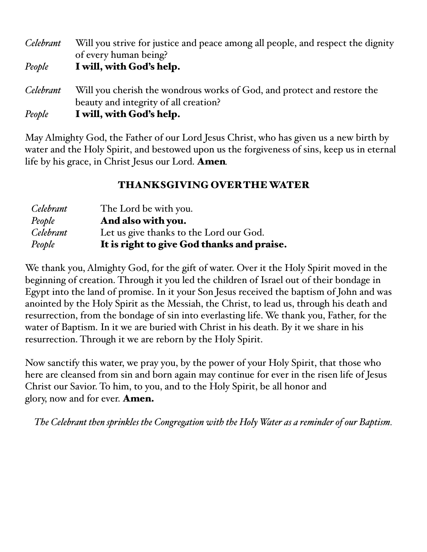*Celebrant* Will you strive for justice and peace among all people, and respect the dignity of every human being?

*People* I will, with God's help.

*Celebrant* Will you cherish the wondrous works of God, and protect and restore the beauty and integrity of all creation?

# *People* I will, with God's help.

May Almighty God, the Father of our Lord Jesus Christ, who has given us a new birth by water and the Holy Spirit, and bestowed upon us the forgiveness of sins, keep us in eternal life by his grace, in Christ Jesus our Lord. Amen*.*

# THANKSGIVING OVER THE WATER

| <i>Celebrant</i> | The Lord be with you.                      |
|------------------|--------------------------------------------|
| People           | And also with you.                         |
| <i>Celebrant</i> | Let us give thanks to the Lord our God.    |
| People           | It is right to give God thanks and praise. |

We thank you, Almighty God, for the gift of water. Over it the Holy Spirit moved in the beginning of creation. Through it you led the children of Israel out of their bondage in Egypt into the land of promise. In it your Son Jesus received the baptism of John and was anointed by the Holy Spirit as the Messiah, the Christ, to lead us, through his death and resurrection, from the bondage of sin into everlasting life. We thank you, Father, for the water of Baptism. In it we are buried with Christ in his death. By it we share in his resurrection. Through it we are reborn by the Holy Spirit.

Now sanctify this water, we pray you, by the power of your Holy Spirit, that those who here are cleansed from sin and born again may continue for ever in the risen life of Jesus Christ our Savior. To him, to you, and to the Holy Spirit, be all honor and glory, now and for ever. Amen.

*The Celebrant then sprinkles the Congregation with the Holy Water as a reminder of our Baptism.*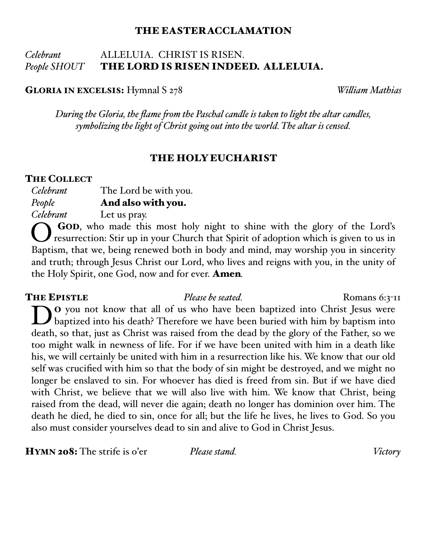# THE EASTER ACCLAMATION

# *Celebrant* ALLELUIA. CHRIST IS RISEN. *People SHOUT* THE LORD IS RISEN INDEED. ALLELUIA.

GLORIA IN EXCELSIS: Hymnal S 278 *William Mathias*

*During the Gloria, the flame from the Paschal candle is taken to light the altar candles, symbolizing the light of Christ going out into the world. The altar is censed.*

# THE HOLY EUCHARIST

### THE COLLECT

| <i>Celebrant</i> | The Lord be with you. |
|------------------|-----------------------|
| People           | And also with you.    |
| <i>Celebrant</i> | Let us pray.          |

O GOD, who made this most holy night to shine with the glory of the Lord's resurrection: Stir up in your Church that Spirit of adoption which is given to us in Baptism, that we, being renewed both in body and mind, may worship you in sincerity and truth; through Jesus Christ our Lord, who lives and reigns with you, in the unity of the Holy Spirit, one God, now and for ever. Amen*.*

### THE EPISTLE *Please be seated.* Romans 6:3-11

**D** O you not know that all of us who have been baptized into Christ Jesus were baptized into his death? Therefore we have been buried with him by baptism into death, so that, just as Christ was raised from the dead by the glory of the Father, so we too might walk in newness of life. For if we have been united with him in a death like his, we will certainly be united with him in a resurrection like his. We know that our old self was crucified with him so that the body of sin might be destroyed, and we might no longer be enslaved to sin. For whoever has died is freed from sin. But if we have died with Christ, we believe that we will also live with him. We know that Christ, being raised from the dead, will never die again; death no longer has dominion over him. The death he died, he died to sin, once for all; but the life he lives, he lives to God. So you also must consider yourselves dead to sin and alive to God in Christ Jesus.

HYMN 208: The strife is o'er *Please stand. Victory*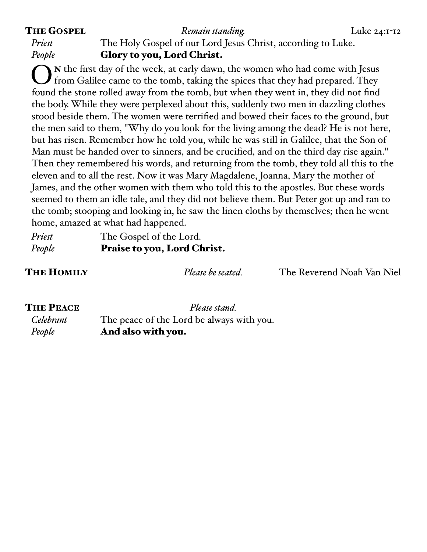**THE GOSPEL** *Remain standing.* Luke 24:1-12

*Priest* The Holy Gospel of our Lord Jesus Christ, according to Luke. *People* Glory to you, Lord Christ.

 $\mathbf N$  the first day of the week, at early dawn, the women who had come with Jesus from Galilee came to the tomb, taking the spices that they had prepared. They found the stone rolled away from the tomb, but when they went in, they did not find the body. While they were perplexed about this, suddenly two men in dazzling clothes stood beside them. The women were terrified and bowed their faces to the ground, but the men said to them, "Why do you look for the living among the dead? He is not here, but has risen. Remember how he told you, while he was still in Galilee, that the Son of Man must be handed over to sinners, and be crucified, and on the third day rise again." Then they remembered his words, and returning from the tomb, they told all this to the eleven and to all the rest. Now it was Mary Magdalene, Joanna, Mary the mother of James, and the other women with them who told this to the apostles. But these words seemed to them an idle tale, and they did not believe them. But Peter got up and ran to the tomb; stooping and looking in, he saw the linen cloths by themselves; then he went home, amazed at what had happened.

| Priest | The Gospel of the Lord.     |
|--------|-----------------------------|
| People | Praise to you, Lord Christ. |

THE HOMILY *Please be seated.* The Reverend Noah Van Niel

THE PEACE *Please stand. Celebrant* The peace of the Lord be always with you. *People* **And also with you.**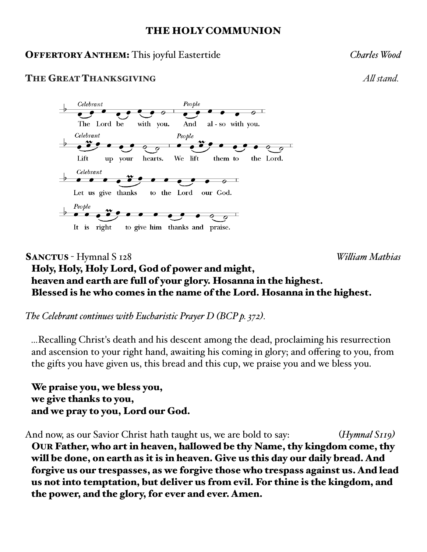### THE HOLY COMMUNION

### OFFERTORY ANTHEM: This joyful Eastertide *Charles Wood*

### THE GREAT THANKSGIVING *All stand.*



### SANCTUS - Hymnal S 128 *William Mathias*

# Holy, Holy, Holy Lord, God of power and might, heaven and earth are full of your glory. Hosanna in the highest. Blessed is he who comes in the name of the Lord. Hosanna in the highest.

*The Celebrant continues with Eucharistic Prayer D (BCP p. 372).*

*…*Recalling Christ's death and his descent among the dead, proclaiming his resurrection and ascension to your right hand, awaiting his coming in glory; and offering to you, from the gifts you have given us, this bread and this cup, we praise you and we bless you.

We praise you, we bless you, we give thanks to you, and we pray to you, Lord our God.

And now, as our Savior Christ hath taught us, we are bold to say: (*Hymnal S119)* OUR Father, who art in heaven, hallowed be thy Name, thy kingdom come, thy will be done, on earth as it is in heaven. Give us this day our daily bread. And forgive us our trespasses, as we forgive those who trespass against us. And lead us not into temptation, but deliver us from evil. For thine is the kingdom, and the power, and the glory, for ever and ever. Amen.